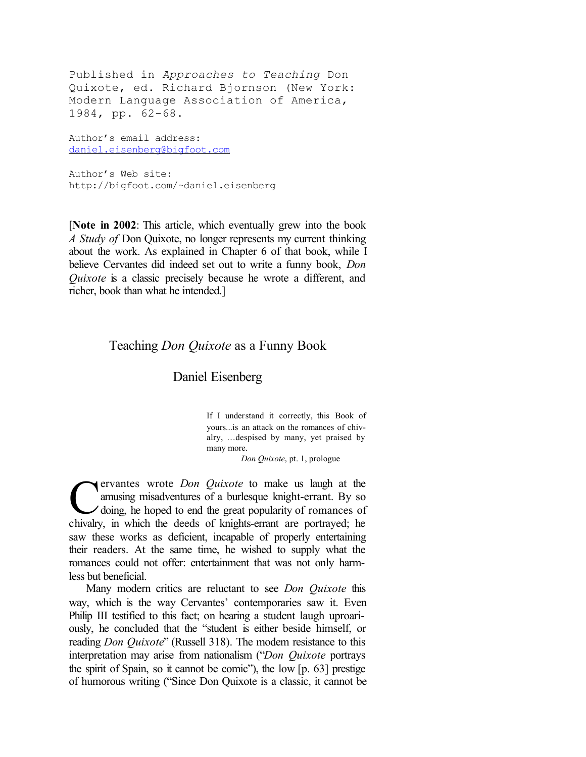Published in *Approaches to Teaching* Don Quixote, ed. Richard Bjornson (New York: Modern Language Association of America, 1984, pp. 62-68.

Author's email address: daniel.eisenberg@bigfoot.com

Author's Web site: http://bigfoot.com/~daniel.eisenberg

[**Note in 2002**: This article, which eventually grew into the book *A Study of* Don Quixote, no longer represents my current thinking about the work. As explained in Chapter 6 of that book, while I believe Cervantes did indeed set out to write a funny book, *Don Quixote* is a classic precisely because he wrote a different, and richer, book than what he intended.]

## Teaching *Don Quixote* as a Funny Book

## Daniel Eisenberg

If I understand it correctly, this Book of yours...is an attack on the romances of chivalry, …despised by many, yet praised by many more.

*Don Quixote*, pt. 1, prologue

**C** ervantes wrote *Don Quixote* to make us laugh at the amusing misadventures of a burlesque knight-errant. By so doing, he hoped to end the great popularity of romances of chivalry, in which the deeds of knights-errant a ervantes wrote *Don Quixote* to make us laugh at the amusing misadventures of a burlesque knight-errant. By so  $\angle$  doing, he hoped to end the great popularity of romances of saw these works as deficient, incapable of properly entertaining their readers. At the same time, he wished to supply what the romances could not offer: entertainment that was not only harmless but beneficial.

Many modern critics are reluctant to see *Don Quixote* this way, which is the way Cervantes' contemporaries saw it. Even Philip III testified to this fact; on hearing a student laugh uproariously, he concluded that the "student is either beside himself, or reading *Don Quixote*" (Russell 318). The modem resistance to this interpretation may arise from nationalism ("*Don Quixote* portrays the spirit of Spain, so it cannot be comic"), the low [p. 63] prestige of humorous writing ("Since Don Quixote is a classic, it cannot be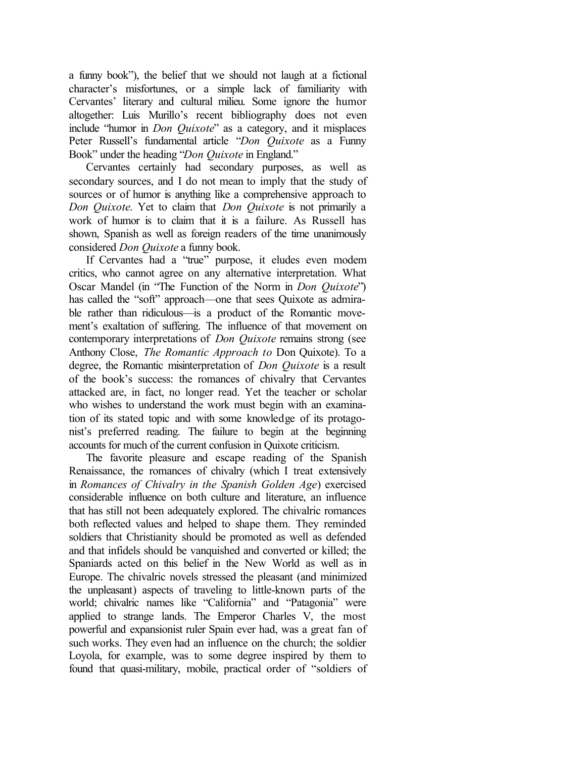a funny book"), the belief that we should not laugh at a fictional character's misfortunes, or a simple lack of familiarity with Cervantes' literary and cultural milieu. Some ignore the humor altogether: Luis Murillo's recent bibliography does not even include "humor in *Don Quixote*" as a category, and it misplaces Peter Russell's fundamental article "*Don Quixote* as a Funny Book" under the heading "*Don Quixote* in England."

Cervantes certainly had secondary purposes, as well as secondary sources, and I do not mean to imply that the study of sources or of humor is anything like a comprehensive approach to *Don Quixote*. Yet to claim that *Don Quixote* is not primarily a work of humor is to claim that it is a failure. As Russell has shown, Spanish as well as foreign readers of the time unanimously considered *Don Quixote* a funny book.

If Cervantes had a "true" purpose, it eludes even modem critics, who cannot agree on any alternative interpretation. What Oscar Mandel (in "The Function of the Norm in *Don Quixote*") has called the "soft" approach—one that sees Quixote as admirable rather than ridiculous—is a product of the Romantic movement's exaltation of suffering. The influence of that movement on contemporary interpretations of *Don Quixote* remains strong (see Anthony Close, *The Romantic Approach to* Don Quixote). To a degree, the Romantic misinterpretation of *Don Quixote* is a result of the book's success: the romances of chivalry that Cervantes attacked are, in fact, no longer read. Yet the teacher or scholar who wishes to understand the work must begin with an examination of its stated topic and with some knowledge of its protagonist's preferred reading. The failure to begin at the beginning accounts for much of the current confusion in Quixote criticism.

The favorite pleasure and escape reading of the Spanish Renaissance, the romances of chivalry (which I treat extensively in *Romances of Chivalry in the Spanish Golden Age*) exercised considerable influence on both culture and literature, an influence that has still not been adequately explored. The chivalric romances both reflected values and helped to shape them. They reminded soldiers that Christianity should be promoted as well as defended and that infidels should be vanquished and converted or killed; the Spaniards acted on this belief in the New World as well as in Europe. The chivalric novels stressed the pleasant (and minimized the unpleasant) aspects of traveling to little-known parts of the world; chivalric names like "California" and "Patagonia" were applied to strange lands. The Emperor Charles V, the most powerful and expansionist ruler Spain ever had, was a great fan of such works. They even had an influence on the church; the soldier Loyola, for example, was to some degree inspired by them to found that quasi-military, mobile, practical order of "soldiers of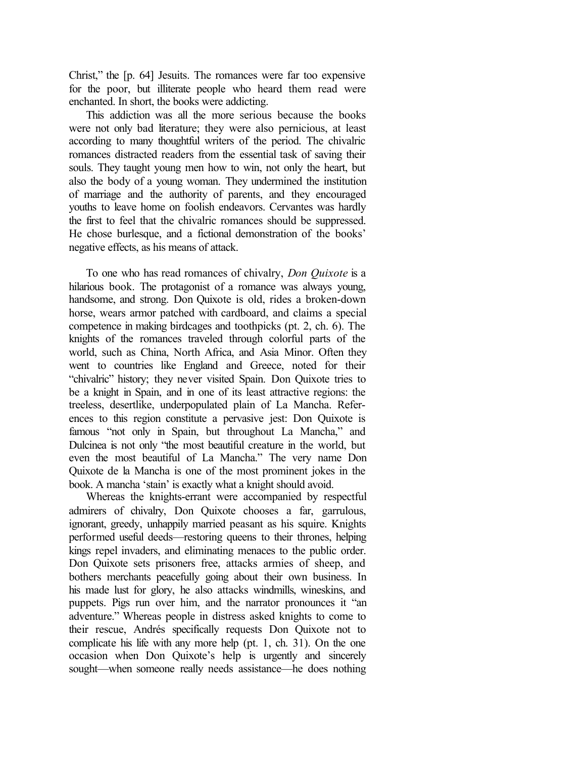Christ," the [p. 64] Jesuits. The romances were far too expensive for the poor, but illiterate people who heard them read were enchanted. In short, the books were addicting.

This addiction was all the more serious because the books were not only bad literature; they were also pernicious, at least according to many thoughtful writers of the period. The chivalric romances distracted readers from the essential task of saving their souls. They taught young men how to win, not only the heart, but also the body of a young woman. They undermined the institution of marriage and the authority of parents, and they encouraged youths to leave home on foolish endeavors. Cervantes was hardly the first to feel that the chivalric romances should be suppressed. He chose burlesque, and a fictional demonstration of the books' negative effects, as his means of attack.

To one who has read romances of chivalry, *Don Quixote* is a hilarious book. The protagonist of a romance was always young, handsome, and strong. Don Quixote is old, rides a broken-down horse, wears armor patched with cardboard, and claims a special competence in making birdcages and toothpicks (pt. 2, ch. 6). The knights of the romances traveled through colorful parts of the world, such as China, North Africa, and Asia Minor. Often they went to countries like England and Greece, noted for their "chivalric" history; they never visited Spain. Don Quixote tries to be a knight in Spain, and in one of its least attractive regions: the treeless, desertlike, underpopulated plain of La Mancha. References to this region constitute a pervasive jest: Don Quixote is famous "not only in Spain, but throughout La Mancha," and Dulcinea is not only "the most beautiful creature in the world, but even the most beautiful of La Mancha." The very name Don Quixote de la Mancha is one of the most prominent jokes in the book. A mancha 'stain' is exactly what a knight should avoid.

Whereas the knights-errant were accompanied by respectful admirers of chivalry, Don Quixote chooses a far, garrulous, ignorant, greedy, unhappily married peasant as his squire. Knights performed useful deeds—restoring queens to their thrones, helping kings repel invaders, and eliminating menaces to the public order. Don Quixote sets prisoners free, attacks armies of sheep, and bothers merchants peacefully going about their own business. In his made lust for glory, he also attacks windmills, wineskins, and puppets. Pigs run over him, and the narrator pronounces it "an adventure." Whereas people in distress asked knights to come to their rescue, Andrés specifically requests Don Quixote not to complicate his life with any more help (pt. 1, ch. 31). On the one occasion when Don Quixote's help is urgently and sincerely sought—when someone really needs assistance—he does nothing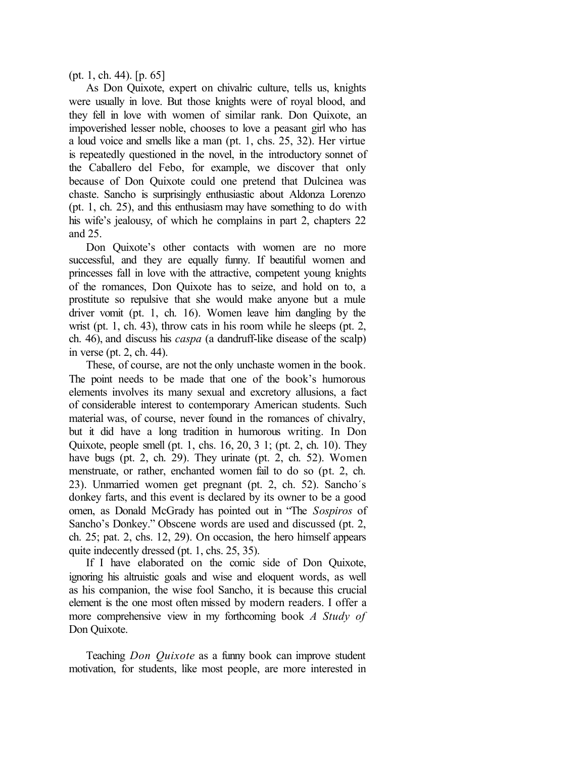(pt. 1, ch. 44). [p. 65]

As Don Quixote, expert on chivalric culture, tells us, knights were usually in love. But those knights were of royal blood, and they fell in love with women of similar rank. Don Quixote, an impoverished lesser noble, chooses to love a peasant girl who has a loud voice and smells like a man (pt. 1, chs. 25, 32). Her virtue is repeatedly questioned in the novel, in the introductory sonnet of the Caballero del Febo, for example, we discover that only because of Don Quixote could one pretend that Dulcinea was chaste. Sancho is surprisingly enthusiastic about Aldonza Lorenzo (pt. 1, ch. 25), and this enthusiasm may have something to do with his wife's jealousy, of which he complains in part 2, chapters 22 and 25.

Don Quixote's other contacts with women are no more successful, and they are equally funny. If beautiful women and princesses fall in love with the attractive, competent young knights of the romances, Don Quixote has to seize, and hold on to, a prostitute so repulsive that she would make anyone but a mule driver vomit (pt. 1, ch. 16). Women leave him dangling by the wrist (pt. 1, ch. 43), throw cats in his room while he sleeps (pt. 2, ch. 46), and discuss his *caspa* (a dandruff-like disease of the scalp) in verse (pt. 2, ch. 44).

These, of course, are not the only unchaste women in the book. The point needs to be made that one of the book's humorous elements involves its many sexual and excretory allusions, a fact of considerable interest to contemporary American students. Such material was, of course, never found in the romances of chivalry, but it did have a long tradition in humorous writing. In Don Quixote, people smell (pt. 1, chs. 16, 20, 3 1; (pt. 2, ch. 10). They have bugs (pt. 2, ch. 29). They urinate (pt. 2, ch. 52). Women menstruate, or rather, enchanted women fail to do so (pt. 2, ch. 23). Unmarried women get pregnant (pt. 2, ch. 52). Sancho's donkey farts, and this event is declared by its owner to be a good omen, as Donald McGrady has pointed out in "The *Sospiros* of Sancho's Donkey." Obscene words are used and discussed (pt. 2, ch. 25; pat. 2, chs. 12, 29). On occasion, the hero himself appears quite indecently dressed (pt. 1, chs. 25, 35).

If I have elaborated on the comic side of Don Quixote, ignoring his altruistic goals and wise and eloquent words, as well as his companion, the wise fool Sancho, it is because this crucial element is the one most often missed by modern readers. I offer a more comprehensive view in my forthcoming book *A Study of* Don Quixote.

Teaching *Don Quixote* as a funny book can improve student motivation, for students, like most people, are more interested in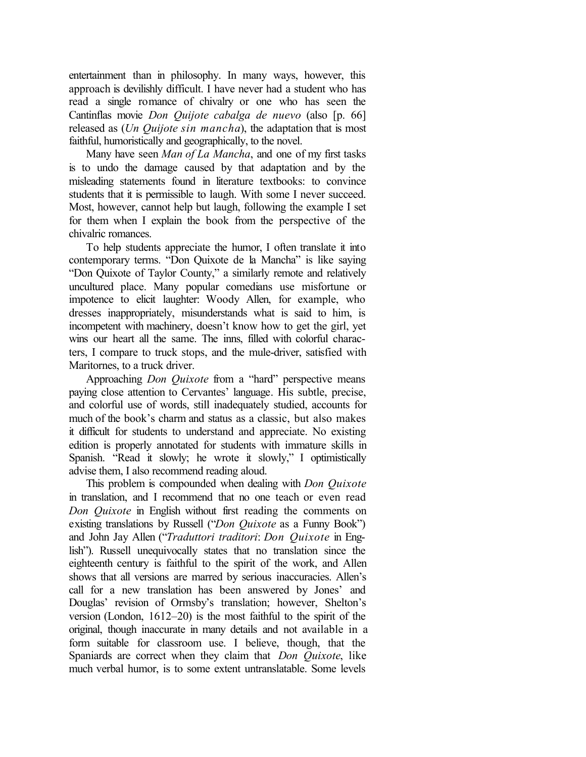entertainment than in philosophy. In many ways, however, this approach is devilishly difficult. I have never had a student who has read a single romance of chivalry or one who has seen the Cantinflas movie *Don Quijote cabalga de nuevo* (also [p. 66] released as (*Un Quijote sin mancha*), the adaptation that is most faithful, humoristically and geographically, to the novel.

Many have seen *Man of La Mancha*, and one of my first tasks is to undo the damage caused by that adaptation and by the misleading statements found in literature textbooks: to convince students that it is permissible to laugh. With some I never succeed. Most, however, cannot help but laugh, following the example I set for them when I explain the book from the perspective of the chivalric romances.

To help students appreciate the humor, I often translate it into contemporary terms. "Don Quixote de la Mancha" is like saying "Don Quixote of Taylor County," a similarly remote and relatively uncultured place. Many popular comedians use misfortune or impotence to elicit laughter: Woody Allen, for example, who dresses inappropriately, misunderstands what is said to him, is incompetent with machinery, doesn't know how to get the girl, yet wins our heart all the same. The inns, filled with colorful characters, I compare to truck stops, and the mule-driver, satisfied with Maritornes, to a truck driver.

Approaching *Don Quixote* from a "hard" perspective means paying close attention to Cervantes' language. His subtle, precise, and colorful use of words, still inadequately studied, accounts for much of the book's charm and status as a classic, but also makes it difficult for students to understand and appreciate. No existing edition is properly annotated for students with immature skills in Spanish. "Read it slowly; he wrote it slowly," I optimistically advise them, I also recommend reading aloud.

This problem is compounded when dealing with *Don Quixote* in translation, and I recommend that no one teach or even read *Don Quixote* in English without first reading the comments on existing translations by Russell ("*Don Quixote* as a Funny Book") and John Jay Allen ("*Traduttori traditori*: *Don Quixote* in English"). Russell unequivocally states that no translation since the eighteenth century is faithful to the spirit of the work, and Allen shows that all versions are marred by serious inaccuracies. Allen's call for a new translation has been answered by Jones' and Douglas' revision of Ormsby's translation; however, Shelton's version (London, 1612–20) is the most faithful to the spirit of the original, though inaccurate in many details and not available in a form suitable for classroom use. I believe, though, that the Spaniards are correct when they claim that *Don Quixote*, like much verbal humor, is to some extent untranslatable. Some levels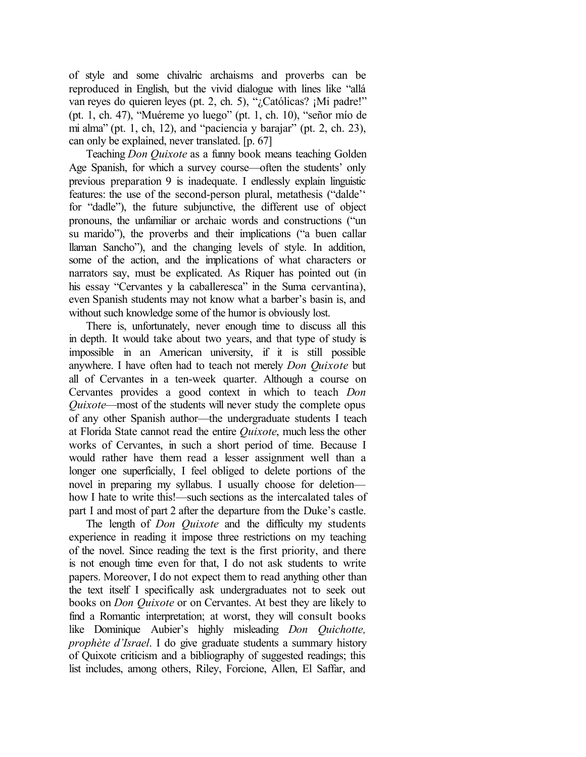of style and some chivalric archaisms and proverbs can be reproduced in English, but the vivid dialogue with lines like "allá van reyes do quieren leyes (pt. 2, ch. 5), "¿Católicas? ¡Mi padre!" (pt. 1, ch. 47), "Muéreme yo luego" (pt. 1, ch. 10), "señor mío de mi alma" (pt. 1, ch, 12), and "paciencia y barajar" (pt. 2, ch. 23), can only be explained, never translated. [p. 67]

Teaching *Don Quixote* as a funny book means teaching Golden Age Spanish, for which a survey course—often the students' only previous preparation 9 is inadequate. I endlessly explain linguistic features: the use of the second-person plural, metathesis ("dalde'' for "dadle"), the future subjunctive, the different use of object pronouns, the unfamiliar or archaic words and constructions ("un su marido"), the proverbs and their implications ("a buen callar llaman Sancho"), and the changing levels of style. In addition, some of the action, and the implications of what characters or narrators say, must be explicated. As Riquer has pointed out (in his essay "Cervantes y la caballeresca" in the Suma cervantina), even Spanish students may not know what a barber's basin is, and without such knowledge some of the humor is obviously lost.

There is, unfortunately, never enough time to discuss all this in depth. It would take about two years, and that type of study is impossible in an American university, if it is still possible anywhere. I have often had to teach not merely *Don Quixote* but all of Cervantes in a ten-week quarter. Although a course on Cervantes provides a good context in which to teach *Don Quixote*—most of the students will never study the complete opus of any other Spanish author—the undergraduate students I teach at Florida State cannot read the entire *Quixote*, much less the other works of Cervantes, in such a short period of time. Because I would rather have them read a lesser assignment well than a longer one superficially, I feel obliged to delete portions of the novel in preparing my syllabus. I usually choose for deletion how I hate to write this!—such sections as the intercalated tales of part I and most of part 2 after the departure from the Duke's castle.

The length of *Don Quixote* and the difficulty my students experience in reading it impose three restrictions on my teaching of the novel. Since reading the text is the first priority, and there is not enough time even for that, I do not ask students to write papers. Moreover, I do not expect them to read anything other than the text itself I specifically ask undergraduates not to seek out books on *Don Quixote* or on Cervantes. At best they are likely to find a Romantic interpretation; at worst, they will consult books like Dominique Aubier's highly misleading *Don Quichotte, prophète d'Israel*. I do give graduate students a summary history of Quixote criticism and a bibliography of suggested readings; this list includes, among others, Riley, Forcione, Allen, El Saffar, and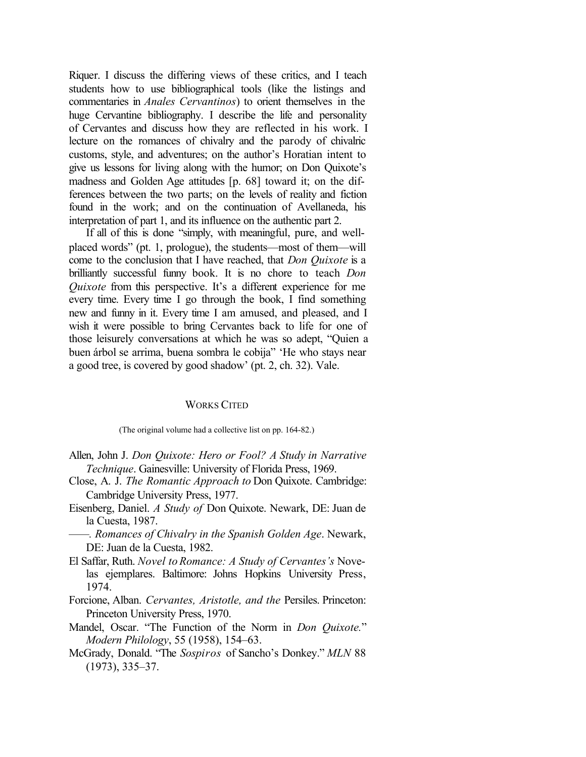Riquer. I discuss the differing views of these critics, and I teach students how to use bibliographical tools (like the listings and commentaries in *Anales Cervantinos*) to orient themselves in the huge Cervantine bibliography. I describe the life and personality of Cervantes and discuss how they are reflected in his work. I lecture on the romances of chivalry and the parody of chivalric customs, style, and adventures; on the author's Horatian intent to give us lessons for living along with the humor; on Don Quixote's madness and Golden Age attitudes [p. 68] toward it; on the differences between the two parts; on the levels of reality and fiction found in the work; and on the continuation of Avellaneda, his interpretation of part 1, and its influence on the authentic part 2.

If all of this is done "simply, with meaningful, pure, and wellplaced words" (pt. 1, prologue), the students—most of them—will come to the conclusion that I have reached, that *Don Quixote* is a brilliantly successful funny book. It is no chore to teach *Don Quixote* from this perspective. It's a different experience for me every time. Every time I go through the book, I find something new and funny in it. Every time I am amused, and pleased, and I wish it were possible to bring Cervantes back to life for one of those leisurely conversations at which he was so adept, "Quien a buen árbol se arrima, buena sombra le cobija" 'He who stays near a good tree, is covered by good shadow' (pt. 2, ch. 32). Vale.

## WORKS CITED

(The original volume had a collective list on pp. 164-82.)

- Allen, John J. *Don Quixote: Hero or Fool? A Study in Narrative Technique*. Gainesville: University of Florida Press, 1969.
- Close, A. J. *The Romantic Approach to* Don Quixote. Cambridge: Cambridge University Press, 1977.
- Eisenberg, Daniel. *A Study of* Don Quixote. Newark, DE: Juan de la Cuesta, 1987.
- *——. Romances of Chivalry in the Spanish Golden Age*. Newark, DE: Juan de la Cuesta, 1982.
- El Saffar, Ruth. *Novel to Romance: A Study of Cervantes's* Novelas ejemplares. Baltimore: Johns Hopkins University Press, 1974.
- Forcione, Alban. *Cervantes, Aristotle, and the* Persiles. Princeton: Princeton University Press, 1970.
- Mandel, Oscar. "The Function of the Norm in *Don Quixote.*" *Modern Philology*, 55 (1958), 154–63.
- McGrady, Donald. "The *Sospiros* of Sancho's Donkey." *MLN* 88 (1973), 335–37.